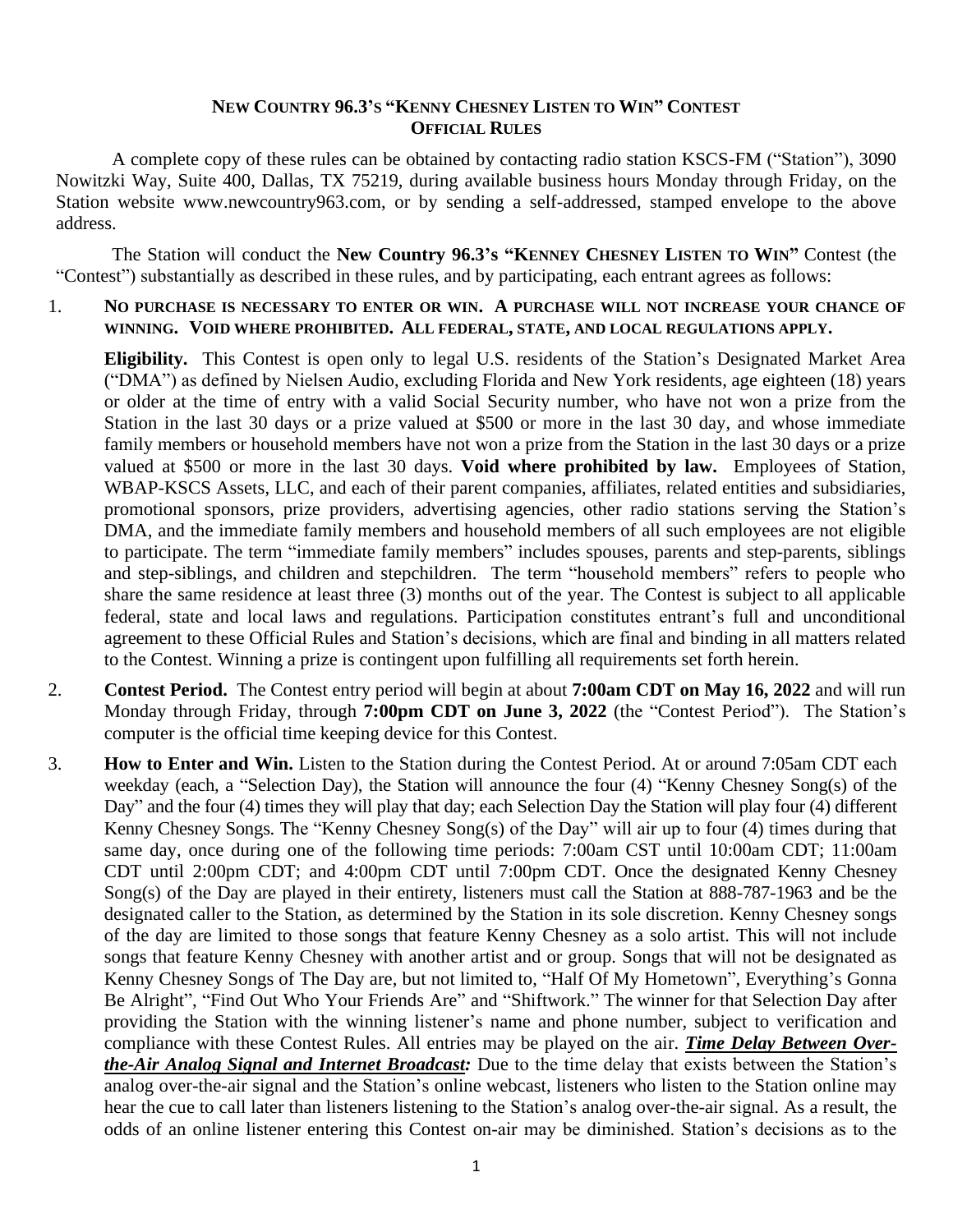### **NEW COUNTRY 96.3'S "KENNY CHESNEY LISTEN TO WIN" CONTEST OFFICIAL RULES**

A complete copy of these rules can be obtained by contacting radio station KSCS-FM ("Station"), 3090 Nowitzki Way, Suite 400, Dallas, TX 75219, during available business hours Monday through Friday, on the Station website www.newcountry963.com, or by sending a self-addressed, stamped envelope to the above address.

The Station will conduct the **New Country 96.3's "KENNEY CHESNEY LISTEN TO WIN"** Contest (the "Contest") substantially as described in these rules, and by participating, each entrant agrees as follows:

### 1. **NO PURCHASE IS NECESSARY TO ENTER OR WIN. A PURCHASE WILL NOT INCREASE YOUR CHANCE OF WINNING. VOID WHERE PROHIBITED. ALL FEDERAL, STATE, AND LOCAL REGULATIONS APPLY.**

**Eligibility.** This Contest is open only to legal U.S. residents of the Station's Designated Market Area ("DMA") as defined by Nielsen Audio, excluding Florida and New York residents, age eighteen (18) years or older at the time of entry with a valid Social Security number, who have not won a prize from the Station in the last 30 days or a prize valued at \$500 or more in the last 30 day, and whose immediate family members or household members have not won a prize from the Station in the last 30 days or a prize valued at \$500 or more in the last 30 days. **Void where prohibited by law.** Employees of Station, WBAP-KSCS Assets, LLC, and each of their parent companies, affiliates, related entities and subsidiaries, promotional sponsors, prize providers, advertising agencies, other radio stations serving the Station's DMA, and the immediate family members and household members of all such employees are not eligible to participate. The term "immediate family members" includes spouses, parents and step-parents, siblings and step-siblings, and children and stepchildren. The term "household members" refers to people who share the same residence at least three (3) months out of the year. The Contest is subject to all applicable federal, state and local laws and regulations. Participation constitutes entrant's full and unconditional agreement to these Official Rules and Station's decisions, which are final and binding in all matters related to the Contest. Winning a prize is contingent upon fulfilling all requirements set forth herein.

- 2. **Contest Period.** The Contest entry period will begin at about **7:00am CDT on May 16, 2022** and will run Monday through Friday, through **7:00pm CDT on June 3, 2022** (the "Contest Period"). The Station's computer is the official time keeping device for this Contest.
- 3. **How to Enter and Win.** Listen to the Station during the Contest Period. At or around 7:05am CDT each weekday (each, a "Selection Day), the Station will announce the four (4) "Kenny Chesney Song(s) of the Day" and the four (4) times they will play that day; each Selection Day the Station will play four (4) different Kenny Chesney Songs. The "Kenny Chesney Song(s) of the Day" will air up to four (4) times during that same day, once during one of the following time periods: 7:00am CST until 10:00am CDT; 11:00am CDT until 2:00pm CDT; and 4:00pm CDT until 7:00pm CDT. Once the designated Kenny Chesney Song(s) of the Day are played in their entirety, listeners must call the Station at 888-787-1963 and be the designated caller to the Station, as determined by the Station in its sole discretion. Kenny Chesney songs of the day are limited to those songs that feature Kenny Chesney as a solo artist. This will not include songs that feature Kenny Chesney with another artist and or group. Songs that will not be designated as Kenny Chesney Songs of The Day are, but not limited to, "Half Of My Hometown", Everything's Gonna Be Alright", "Find Out Who Your Friends Are" and "Shiftwork." The winner for that Selection Day after providing the Station with the winning listener's name and phone number, subject to verification and compliance with these Contest Rules. All entries may be played on the air. *Time Delay Between Overthe-Air Analog Signal and Internet Broadcast:* Due to the time delay that exists between the Station's analog over-the-air signal and the Station's online webcast, listeners who listen to the Station online may hear the cue to call later than listeners listening to the Station's analog over-the-air signal. As a result, the odds of an online listener entering this Contest on-air may be diminished. Station's decisions as to the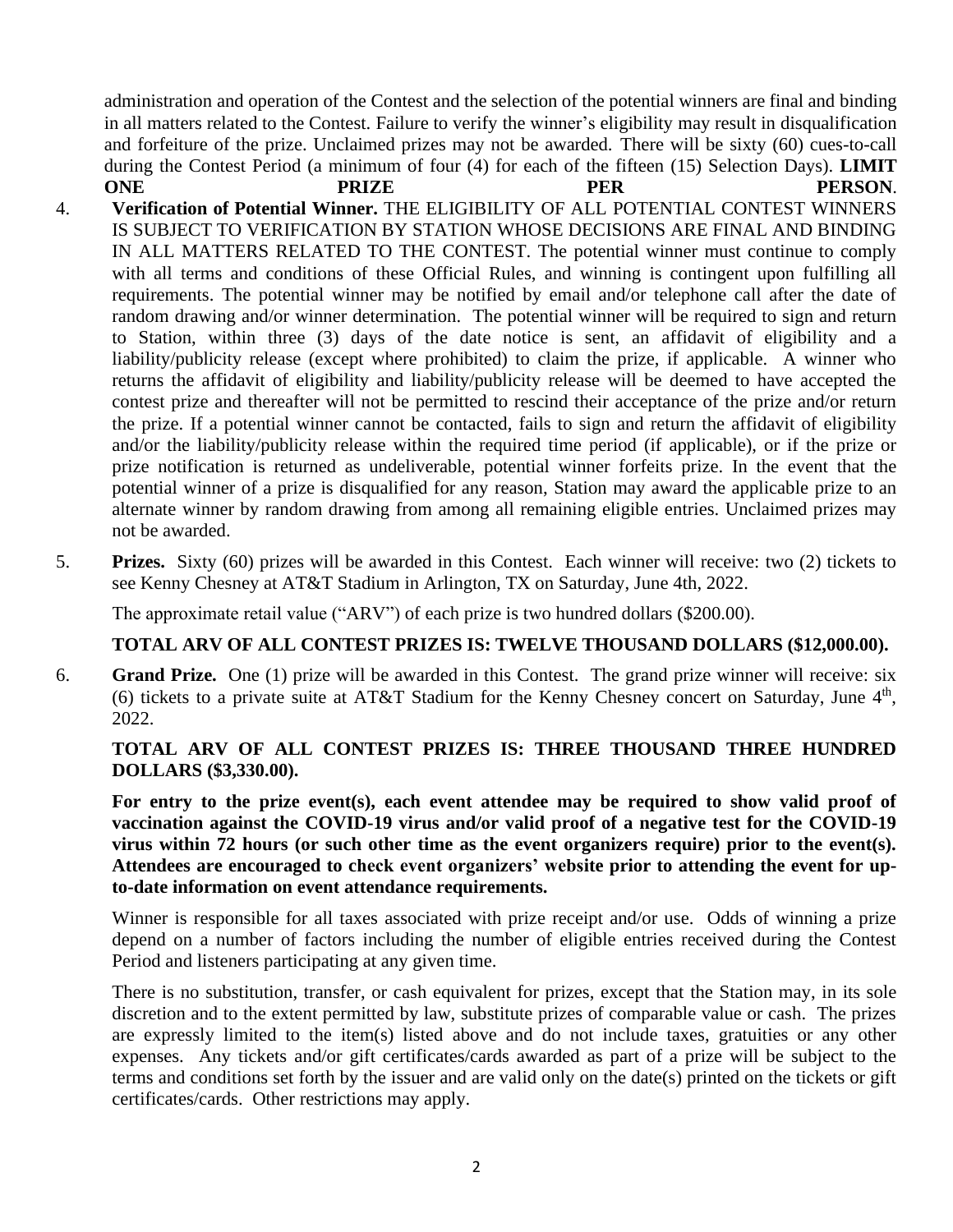administration and operation of the Contest and the selection of the potential winners are final and binding in all matters related to the Contest. Failure to verify the winner's eligibility may result in disqualification and forfeiture of the prize. Unclaimed prizes may not be awarded. There will be sixty (60) cues-to-call during the Contest Period (a minimum of four (4) for each of the fifteen (15) Selection Days). **LIMIT ONE** PRIZE PER PERSON.

- 4. **Verification of Potential Winner.** THE ELIGIBILITY OF ALL POTENTIAL CONTEST WINNERS IS SUBJECT TO VERIFICATION BY STATION WHOSE DECISIONS ARE FINAL AND BINDING IN ALL MATTERS RELATED TO THE CONTEST. The potential winner must continue to comply with all terms and conditions of these Official Rules, and winning is contingent upon fulfilling all requirements. The potential winner may be notified by email and/or telephone call after the date of random drawing and/or winner determination. The potential winner will be required to sign and return to Station, within three (3) days of the date notice is sent, an affidavit of eligibility and a liability/publicity release (except where prohibited) to claim the prize, if applicable. A winner who returns the affidavit of eligibility and liability/publicity release will be deemed to have accepted the contest prize and thereafter will not be permitted to rescind their acceptance of the prize and/or return the prize. If a potential winner cannot be contacted, fails to sign and return the affidavit of eligibility and/or the liability/publicity release within the required time period (if applicable), or if the prize or prize notification is returned as undeliverable, potential winner forfeits prize. In the event that the potential winner of a prize is disqualified for any reason, Station may award the applicable prize to an alternate winner by random drawing from among all remaining eligible entries. Unclaimed prizes may not be awarded.
- 5. **Prizes.** Sixty (60) prizes will be awarded in this Contest. Each winner will receive: two (2) tickets to see Kenny Chesney at AT&T Stadium in Arlington, TX on Saturday, June 4th, 2022.

The approximate retail value ("ARV") of each prize is two hundred dollars (\$200.00).

# **TOTAL ARV OF ALL CONTEST PRIZES IS: TWELVE THOUSAND DOLLARS (\$12,000.00).**

6. **Grand Prize.** One (1) prize will be awarded in this Contest. The grand prize winner will receive: six (6) tickets to a private suite at AT&T Stadium for the Kenny Chesney concert on Saturday, June  $4<sup>th</sup>$ , 2022.

**TOTAL ARV OF ALL CONTEST PRIZES IS: THREE THOUSAND THREE HUNDRED DOLLARS (\$3,330.00).**

**For entry to the prize event(s), each event attendee may be required to show valid proof of vaccination against the COVID-19 virus and/or valid proof of a negative test for the COVID-19 virus within 72 hours (or such other time as the event organizers require) prior to the event(s). Attendees are encouraged to check event organizers' website prior to attending the event for upto-date information on event attendance requirements.**

Winner is responsible for all taxes associated with prize receipt and/or use. Odds of winning a prize depend on a number of factors including the number of eligible entries received during the Contest Period and listeners participating at any given time.

There is no substitution, transfer, or cash equivalent for prizes, except that the Station may, in its sole discretion and to the extent permitted by law, substitute prizes of comparable value or cash. The prizes are expressly limited to the item(s) listed above and do not include taxes, gratuities or any other expenses. Any tickets and/or gift certificates/cards awarded as part of a prize will be subject to the terms and conditions set forth by the issuer and are valid only on the date(s) printed on the tickets or gift certificates/cards. Other restrictions may apply.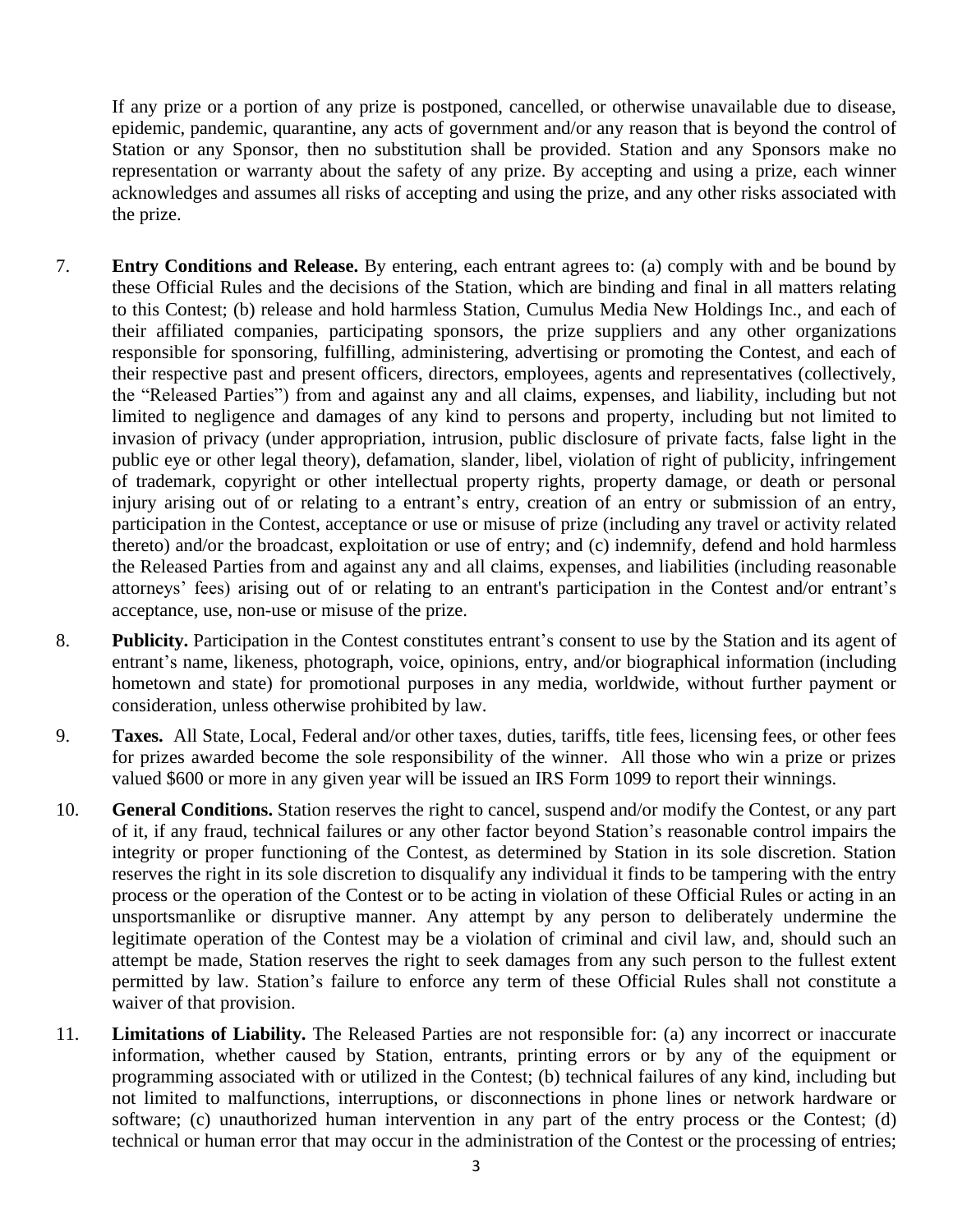If any prize or a portion of any prize is postponed, cancelled, or otherwise unavailable due to disease, epidemic, pandemic, quarantine, any acts of government and/or any reason that is beyond the control of Station or any Sponsor, then no substitution shall be provided. Station and any Sponsors make no representation or warranty about the safety of any prize. By accepting and using a prize, each winner acknowledges and assumes all risks of accepting and using the prize, and any other risks associated with the prize.

- 7. **Entry Conditions and Release.** By entering, each entrant agrees to: (a) comply with and be bound by these Official Rules and the decisions of the Station, which are binding and final in all matters relating to this Contest; (b) release and hold harmless Station, Cumulus Media New Holdings Inc., and each of their affiliated companies, participating sponsors, the prize suppliers and any other organizations responsible for sponsoring, fulfilling, administering, advertising or promoting the Contest, and each of their respective past and present officers, directors, employees, agents and representatives (collectively, the "Released Parties") from and against any and all claims, expenses, and liability, including but not limited to negligence and damages of any kind to persons and property, including but not limited to invasion of privacy (under appropriation, intrusion, public disclosure of private facts, false light in the public eye or other legal theory), defamation, slander, libel, violation of right of publicity, infringement of trademark, copyright or other intellectual property rights, property damage, or death or personal injury arising out of or relating to a entrant's entry, creation of an entry or submission of an entry, participation in the Contest, acceptance or use or misuse of prize (including any travel or activity related thereto) and/or the broadcast, exploitation or use of entry; and (c) indemnify, defend and hold harmless the Released Parties from and against any and all claims, expenses, and liabilities (including reasonable attorneys' fees) arising out of or relating to an entrant's participation in the Contest and/or entrant's acceptance, use, non-use or misuse of the prize.
- 8. **Publicity.** Participation in the Contest constitutes entrant's consent to use by the Station and its agent of entrant's name, likeness, photograph, voice, opinions, entry, and/or biographical information (including hometown and state) for promotional purposes in any media, worldwide, without further payment or consideration, unless otherwise prohibited by law.
- 9. **Taxes.** All State, Local, Federal and/or other taxes, duties, tariffs, title fees, licensing fees, or other fees for prizes awarded become the sole responsibility of the winner. All those who win a prize or prizes valued \$600 or more in any given year will be issued an IRS Form 1099 to report their winnings.
- 10. **General Conditions.** Station reserves the right to cancel, suspend and/or modify the Contest, or any part of it, if any fraud, technical failures or any other factor beyond Station's reasonable control impairs the integrity or proper functioning of the Contest, as determined by Station in its sole discretion. Station reserves the right in its sole discretion to disqualify any individual it finds to be tampering with the entry process or the operation of the Contest or to be acting in violation of these Official Rules or acting in an unsportsmanlike or disruptive manner. Any attempt by any person to deliberately undermine the legitimate operation of the Contest may be a violation of criminal and civil law, and, should such an attempt be made, Station reserves the right to seek damages from any such person to the fullest extent permitted by law. Station's failure to enforce any term of these Official Rules shall not constitute a waiver of that provision.
- 11. **Limitations of Liability.** The Released Parties are not responsible for: (a) any incorrect or inaccurate information, whether caused by Station, entrants, printing errors or by any of the equipment or programming associated with or utilized in the Contest; (b) technical failures of any kind, including but not limited to malfunctions, interruptions, or disconnections in phone lines or network hardware or software; (c) unauthorized human intervention in any part of the entry process or the Contest; (d) technical or human error that may occur in the administration of the Contest or the processing of entries;